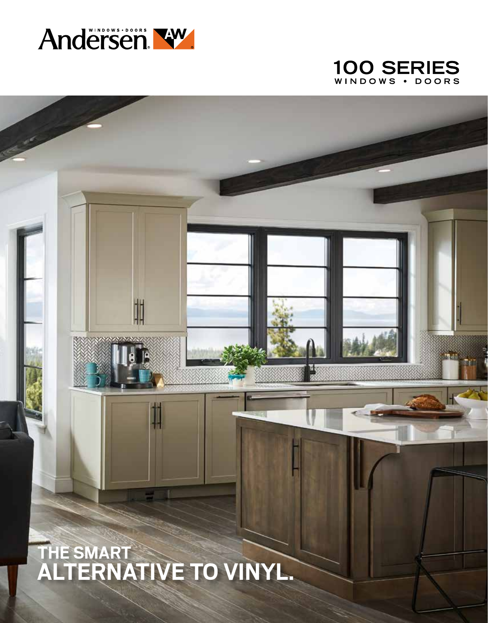



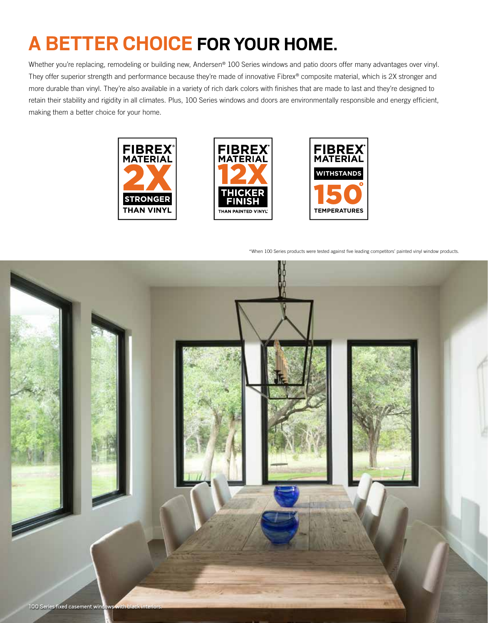# **A BETTER CHOICE FOR YOUR HOME.**

Whether you're replacing, remodeling or building new, Andersen® 100 Series windows and patio doors offer many advantages over vinyl. They offer superior strength and performance because they're made of innovative Fibrex® composite material, which is 2X stronger and more durable than vinyl. They're also available in a variety of rich dark colors with finishes that are made to last and they're designed to retain their stability and rigidity in all climates. Plus, 100 Series windows and doors are environmentally responsible and energy efficient, making them a better choice for your home.







\*When 100 Series products were tested against five leading competitors' painted vinyl window products.

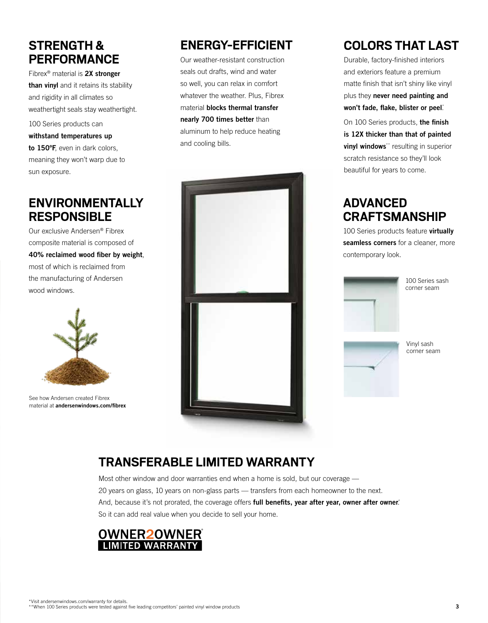## **STRENGTH & PERFORMANCE**

Fibrex<sup>®</sup> material is 2X stronger than vinvl and it retains its stability and rigidity in all climates so weathertight seals stay weathertight.

100 Series products can

### withstand temperatures up

to 150°F, even in dark colors, meaning they won't warp due to sun exposure.

### **ENVIRONMENTALLY RESPONSIBLE**

Our exclusive Andersen® Fibrex composite material is composed of 40% reclaimed wood fiber by weight, most of which is reclaimed from the manufacturing of Andersen wood windows.



See how Andersen created Fibrex material at andersenwindows.com/fibrex

Our weather-resistant construction seals out drafts, wind and water so well, you can relax in comfort whatever the weather. Plus, Fibrex material blocks thermal transfer nearly 700 times better than aluminum to help reduce heating and cooling bills.



## **ENERGY-EFFICIENT COLORS THAT LAST**

Durable, factory-finished interiors and exteriors feature a premium matte finish that isn't shiny like vinyl plus they never need painting and won't fade, flake, blister or peel.

On 100 Series products, the finish is 12X thicker than that of painted vinyl windows\*\* resulting in superior scratch resistance so they'll look beautiful for years to come.

### **ADVANCED CRAFTSMANSHIP**

100 Series products feature virtually seamless corners for a cleaner, more contemporary look.



100 Series sash corner seam

Vinyl sash corner seam

### **TRANSFERABLE LIMITED WARRANTY**

Most other window and door warranties end when a home is sold, but our coverage — 20 years on glass, 10 years on non-glass parts — transfers from each homeowner to the next. And, because it's not prorated, the coverage offers full benefits, year after year, owner after owner. So it can add real value when you decide to sell your home.

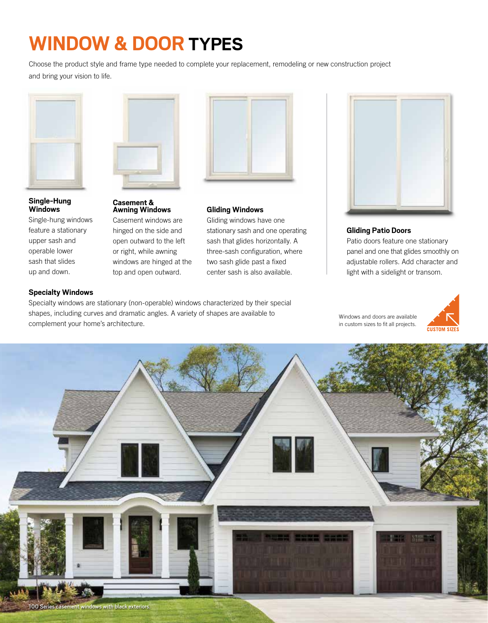# **WINDOW & DOOR TYPES**

Choose the product style and frame type needed to complete your replacement, remodeling or new construction project and bring your vision to life.



**Single-Hung Windows**

Single-hung windows feature a stationary upper sash and operable lower sash that slides up and down.



### **Casement & Awning Windows**

Casement windows are hinged on the side and open outward to the left or right, while awning windows are hinged at the top and open outward.



### **Gliding Windows**

Gliding windows have one stationary sash and one operating sash that glides horizontally. A three-sash configuration, where two sash glide past a fixed center sash is also available.



### **Gliding Patio Doors**

Windows and doors are available

Patio doors feature one stationary panel and one that glides smoothly on adjustable rollers. Add character and light with a sidelight or transom.

### **Specialty Windows**

Specialty windows are stationary (non-operable) windows characterized by their special shapes, including curves and dramatic angles. A variety of shapes are available to complement your home's architecture.

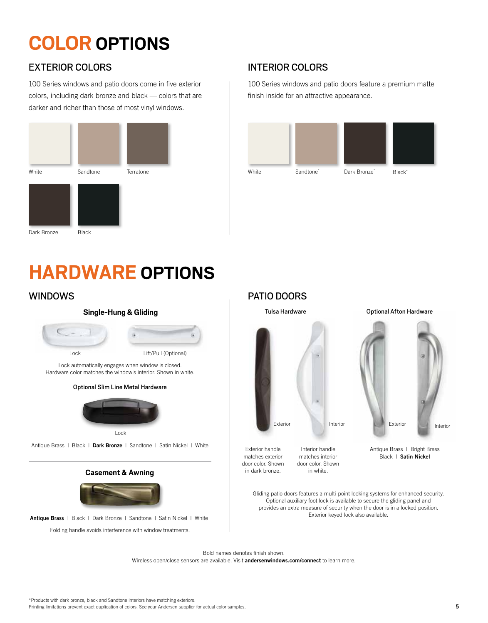# **COLOR OPTIONS**

### EXTERIOR COLORS

100 Series windows and patio doors come in five exterior colors, including dark bronze and black — colors that are darker and richer than those of most vinyl windows.



**HARDWARE OPTIONS**

### WINDOWS

# Lock automatically engages when window is closed. Hardware color matches the window's interior. Shown in white. Antique Brass | Black | Dark Bronze | Sandtone | Satin Nickel | White Lock Lift/Pull (Optional) Optional Slim Line Metal Hardware Lock **Casement & Awning**

Antique Brass | Black | Dark Bronze | Sandtone | Satin Nickel | White

Folding handle avoids interference with window treatments.

### INTERIOR COLORS

100 Series windows and patio doors feature a premium matte finish inside for an attractive appearance.





Gliding patio doors features a multi-point locking systems for enhanced security. Optional auxiliary foot lock is available to secure the gliding panel and provides an extra measure of security when the door is in a locked position. Exterior keyed lock also available.

Bold names denotes finish shown. Wireless open/close sensors are available. Visit andersenwindows.com/connect to learn more.

\*Products with dark bronze, black and Sandtone interiors have matching exteriors. Printing limitations prevent exact duplication of colors. See your Andersen supplier for actual color samples.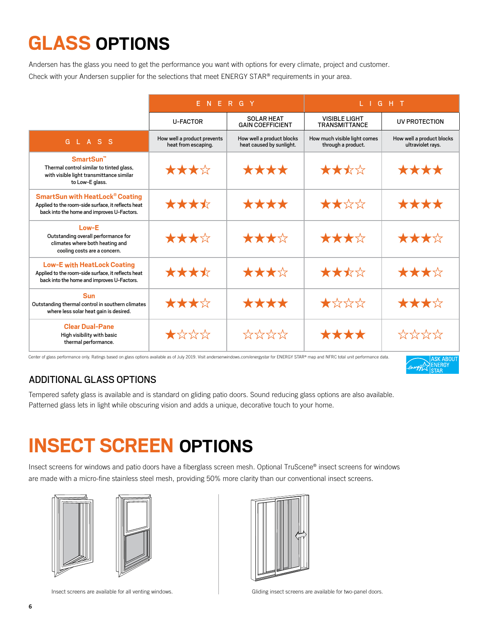# **GLASS OPTIONS**

Andersen has the glass you need to get the performance you want with options for every climate, project and customer. Check with your Andersen supplier for the selections that meet ENERGY STAR® requirements in your area.

|                                                                                                                                            | ENERGY                                             |                                                       | LIGHT                                              |                                                |
|--------------------------------------------------------------------------------------------------------------------------------------------|----------------------------------------------------|-------------------------------------------------------|----------------------------------------------------|------------------------------------------------|
|                                                                                                                                            | <b>U-FACTOR</b>                                    | <b>SOLAR HEAT</b><br><b>GAIN COEFFICIENT</b>          | <b>VISIBLE LIGHT</b><br><b>TRANSMITTANCE</b>       | <b>UV PROTECTION</b>                           |
| G L A S S                                                                                                                                  | How well a product prevents<br>heat from escaping. | How well a product blocks<br>heat caused by sunlight. | How much visible light comes<br>through a product. | How well a product blocks<br>ultraviolet rays. |
| SmartSun <sup>"</sup><br>Thermal control similar to tinted glass,<br>with visible light transmittance similar<br>to Low-E glass.           | ★★★☆                                               | ****                                                  | ★★★☆                                               | ****                                           |
| <b>SmartSun with HeatLock® Coating</b><br>Applied to the room-side surface, it reflects heat<br>back into the home and improves U-Factors. | ****                                               | ****                                                  | ★★☆☆                                               | ****                                           |
| Low-E<br>Outstanding overall performance for<br>climates where both heating and<br>cooling costs are a concern.                            | ★★★☆                                               | ★★★☆                                                  | ★★★☆                                               | ★★★☆                                           |
| <b>Low-E with HeatLock Coating</b><br>Applied to the room-side surface, it reflects heat<br>back into the home and improves U-Factors.     | ****                                               | ★★★☆                                                  | ★★★☆                                               | ★★★☆                                           |
| <b>Sun</b><br>Outstanding thermal control in southern climates<br>where less solar heat gain is desired.                                   | ★★★☆                                               | ****                                                  | $\bigstar$ * * * *                                 | ★★★☆                                           |
| <b>Clear Dual-Pane</b><br>High visibility with basic<br>thermal performance.                                                               | ****                                               | *****                                                 | ****                                               | *****                                          |

Center of glass performance only. Ratings based on glass options available as of July 2019. Visit andersenwindows.com/energystar for ENERGY STAR® map and NFRC total unit performance data.

### ADDITIONAL GLASS OPTIONS

Tempered safety glass is available and is standard on gliding patio doors. Sound reducing glass options are also available. Patterned glass lets in light while obscuring vision and adds a unique, decorative touch to your home.

# **INSECT SCREEN OPTIONS**

Insect screens for windows and patio doors have a fiberglass screen mesh. Optional TruScene® insect screens for windows are made with a micro-fine stainless steel mesh, providing 50% more clarity than our conventional insect screens.







Insect screens are available for all venting windows. Gliding insect screens are available for two-panel doors.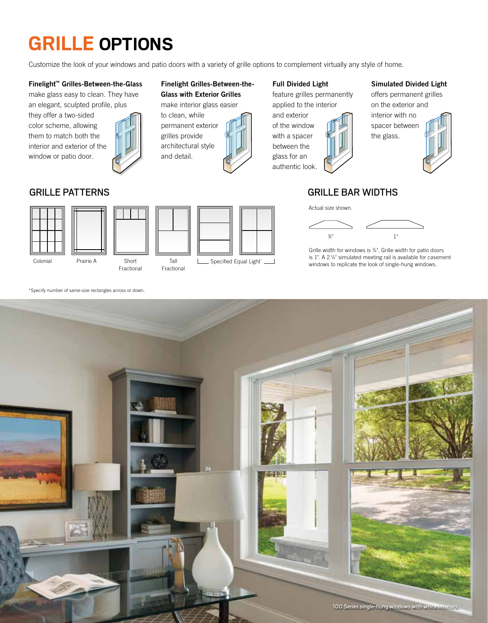# **GRILLE OPTIONS**

Customize the look of your windows and patio doors with a variety of grille options to complement virtually any style of home.

Finelight Grilles-Between-the-Glass with Exterior Grilles make interior glass easier

to clean, while permanent exterior grilles provide architectural style and detail.

#### Finelight™ Grilles-Between-the-Glass

make glass easy to clean. They have an elegant, sculpted profile, plus

they offer a two-sided color scheme, allowing them to match both the interior and exterior of the window or patio door.





Fractional



#### Full Divided Light

feature grilles permanently applied to the interior





#### Simulated Divided Light

offers permanent grilles on the exterior and interior with no spacer between the glass.



### GRILLE PATTERNS GRILLE BAR WIDTHS

Actual size shown.



Grille width for windows is 3/4". Grille width for patio doors is 1". A 2  $\frac{1}{4}$ " simulated meeting rail is available for casement windows to replicate the look of single-hung windows.

\*Specify number of same-size rectangles across or down.